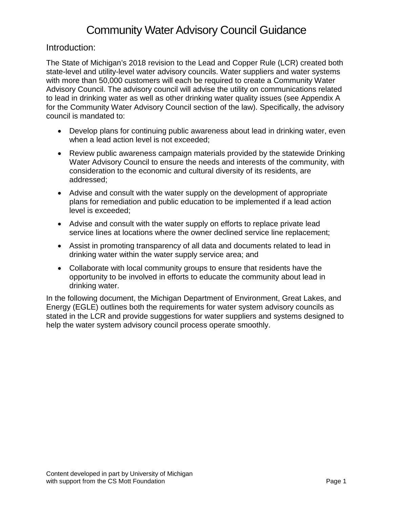## Introduction:

The State of Michigan's 2018 revision to the Lead and Copper Rule (LCR) created both state-level and utility-level water advisory councils. Water suppliers and water systems with more than 50,000 customers will each be required to create a Community Water Advisory Council. The advisory council will advise the utility on communications related to lead in drinking water as well as other drinking water quality issues (see Appendix A for the Community Water Advisory Council section of the law). Specifically, the advisory council is mandated to:

- Develop plans for continuing public awareness about lead in drinking water, even when a lead action level is not exceeded;
- Review public awareness campaign materials provided by the statewide Drinking Water Advisory Council to ensure the needs and interests of the community, with consideration to the economic and cultural diversity of its residents, are addressed;
- Advise and consult with the water supply on the development of appropriate plans for remediation and public education to be implemented if a lead action level is exceeded;
- Advise and consult with the water supply on efforts to replace private lead service lines at locations where the owner declined service line replacement;
- Assist in promoting transparency of all data and documents related to lead in drinking water within the water supply service area; and
- Collaborate with local community groups to ensure that residents have the opportunity to be involved in efforts to educate the community about lead in drinking water.

In the following document, the Michigan Department of Environment, Great Lakes, and Energy (EGLE) outlines both the requirements for water system advisory councils as stated in the LCR and provide suggestions for water suppliers and systems designed to help the water system advisory council process operate smoothly.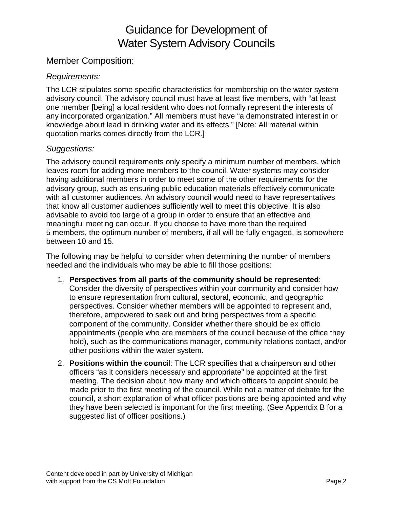## Guidance for Development of Water System Advisory Councils

## Member Composition:

#### *Requirements:*

The LCR stipulates some specific characteristics for membership on the water system advisory council. The advisory council must have at least five members, with "at least one member [being] a local resident who does not formally represent the interests of any incorporated organization." All members must have "a demonstrated interest in or knowledge about lead in drinking water and its effects." [Note: All material within quotation marks comes directly from the LCR.]

#### *Suggestions:*

The advisory council requirements only specify a minimum number of members, which leaves room for adding more members to the council. Water systems may consider having additional members in order to meet some of the other requirements for the advisory group, such as ensuring public education materials effectively communicate with all customer audiences. An advisory council would need to have representatives that know all customer audiences sufficiently well to meet this objective. It is also advisable to avoid too large of a group in order to ensure that an effective and meaningful meeting can occur. If you choose to have more than the required 5 members, the optimum number of members, if all will be fully engaged, is somewhere between 10 and 15.

The following may be helpful to consider when determining the number of members needed and the individuals who may be able to fill those positions:

- 1. **Perspectives from all parts of the community should be represented**: Consider the diversity of perspectives within your community and consider how to ensure representation from cultural, sectoral, economic, and geographic perspectives. Consider whether members will be appointed to represent and, therefore, empowered to seek out and bring perspectives from a specific component of the community. Consider whether there should be ex officio appointments (people who are members of the council because of the office they hold), such as the communications manager, community relations contact, and/or other positions within the water system.
- 2. **Positions within the counc**il: The LCR specifies that a chairperson and other officers "as it considers necessary and appropriate" be appointed at the first meeting. The decision about how many and which officers to appoint should be made prior to the first meeting of the council. While not a matter of debate for the council, a short explanation of what officer positions are being appointed and why they have been selected is important for the first meeting. (See Appendix B for a suggested list of officer positions.)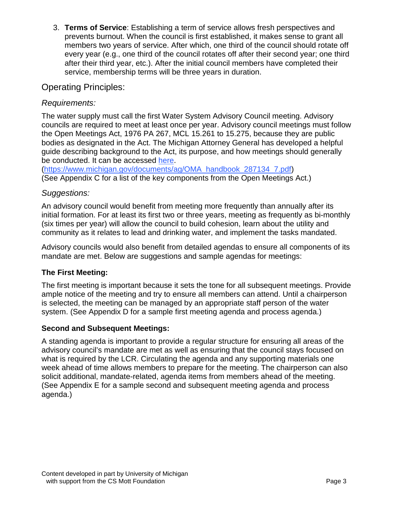3. **Terms of Service**: Establishing a term of service allows fresh perspectives and prevents burnout. When the council is first established, it makes sense to grant all members two years of service. After which, one third of the council should rotate off every year (e.g., one third of the council rotates off after their second year; one third after their third year, etc.). After the initial council members have completed their service, membership terms will be three years in duration.

## Operating Principles:

## *Requirements:*

The water supply must call the first Water System Advisory Council meeting. Advisory councils are required to meet at least once per year. Advisory council meetings must follow the Open Meetings Act, 1976 PA 267, MCL 15.261 to 15.275, because they are public bodies as designated in the Act. The Michigan Attorney General has developed a helpful guide describing background to the Act, its purpose, and how meetings should generally be conducted. It can be accessed here.

[\(https://www.michigan.gov/documents/ag/OMA\\_handbook\\_287134\\_7.pdf\)](https://www.michigan.gov/documents/ag/OMA_handbook_287134_7.pdf) (See Appendix C for a list of the key components from the Open Meetings Act.)

#### *Suggestions:*

An advisory council would benefit from meeting more frequently than annually after its initial formation. For at least its first two or three years, meeting as frequently as bi-monthly (six times per year) will allow the council to build cohesion, learn about the utility and community as it relates to lead and drinking water, and implement the tasks mandated.

Advisory councils would also benefit from detailed agendas to ensure all components of its mandate are met. Below are suggestions and sample agendas for meetings:

## **The First Meeting:**

The first meeting is important because it sets the tone for all subsequent meetings. Provide ample notice of the meeting and try to ensure all members can attend. Until a chairperson is selected, the meeting can be managed by an appropriate staff person of the water system. (See Appendix D for a sample first meeting agenda and process agenda.)

#### **Second and Subsequent Meetings:**

A standing agenda is important to provide a regular structure for ensuring all areas of the advisory council's mandate are met as well as ensuring that the council stays focused on what is required by the LCR. Circulating the agenda and any supporting materials one week ahead of time allows members to prepare for the meeting. The chairperson can also solicit additional, mandate-related, agenda items from members ahead of the meeting. (See Appendix E for a sample second and subsequent meeting agenda and process agenda.)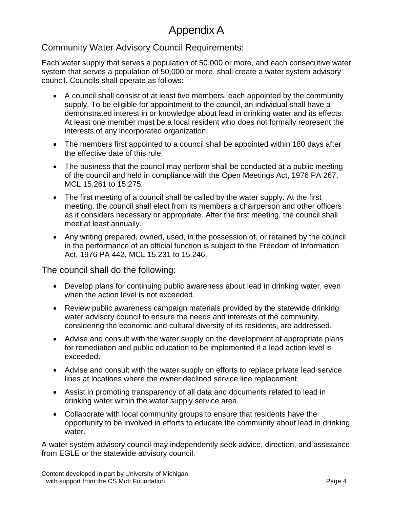# Appendix A

## Community Water Advisory Council Requirements:

Each water supply that serves a population of 50,000 or more, and each consecutive water system that serves a population of 50,000 or more, shall create a water system advisory council. Councils shall operate as follows:

- A council shall consist of at least five members, each appointed by the community supply. To be eligible for appointment to the council, an individual shall have a demonstrated interest in or knowledge about lead in drinking water and its effects. At least one member must be a local resident who does not formally represent the interests of any incorporated organization.
- The members first appointed to a council shall be appointed within 180 days after the effective date of this rule.
- The business that the council may perform shall be conducted at a public meeting of the council and held in compliance with the Open Meetings Act, 1976 PA 267, MCL 15.261 to 15.275.
- The first meeting of a council shall be called by the water supply. At the first meeting, the council shall elect from its members a chairperson and other officers as it considers necessary or appropriate. After the first meeting, the council shall meet at least annually.
- Any writing prepared, owned, used, in the possession of, or retained by the council in the performance of an official function is subject to the Freedom of Information Act, 1976 PA 442, MCL 15.231 to 15.246.

The council shall do the following:

- Develop plans for continuing public awareness about lead in drinking water, even when the action level is not exceeded.
- Review public awareness campaign materials provided by the statewide drinking water advisory council to ensure the needs and interests of the community, considering the economic and cultural diversity of its residents, are addressed.
- Advise and consult with the water supply on the development of appropriate plans for remediation and public education to be implemented if a lead action level is exceeded.
- Advise and consult with the water supply on efforts to replace private lead service lines at locations where the owner declined service line replacement.
- Assist in promoting transparency of all data and documents related to lead in drinking water within the water supply service area.
- Collaborate with local community groups to ensure that residents have the opportunity to be involved in efforts to educate the community about lead in drinking water.

A water system advisory council may independently seek advice, direction, and assistance from EGLE or the statewide advisory council.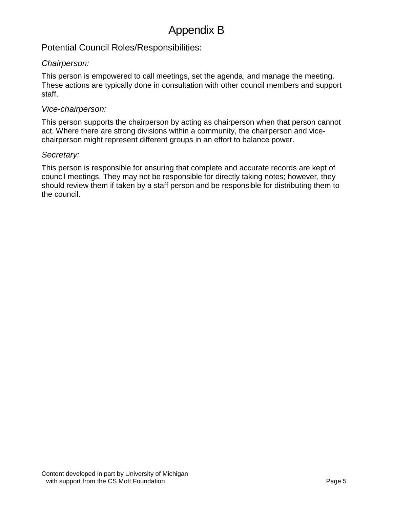## Potential Council Roles/Responsibilities:

#### *Chairperson:*

This person is empowered to call meetings, set the agenda, and manage the meeting. These actions are typically done in consultation with other council members and support staff.

#### *Vice-chairperson:*

This person supports the chairperson by acting as chairperson when that person cannot act. Where there are strong divisions within a community, the chairperson and vicechairperson might represent different groups in an effort to balance power.

#### *Secretary:*

This person is responsible for ensuring that complete and accurate records are kept of council meetings. They may not be responsible for directly taking notes; however, they should review them if taken by a staff person and be responsible for distributing them to the council.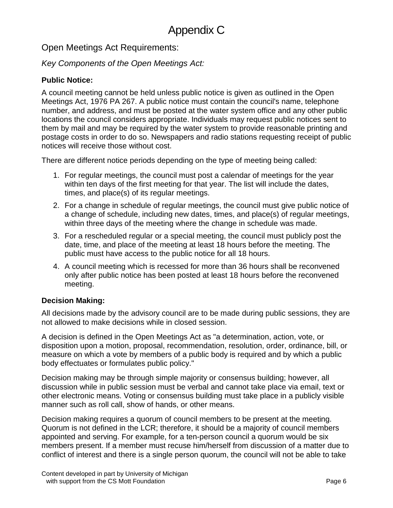Open Meetings Act Requirements:

## *Key Components of the Open Meetings Act:*

## **Public Notice:**

A council meeting cannot be held unless public notice is given as outlined in the Open Meetings Act, 1976 PA 267. A public notice must contain the council's name, telephone number, and address, and must be posted at the water system office and any other public locations the council considers appropriate. Individuals may request public notices sent to them by mail and may be required by the water system to provide reasonable printing and postage costs in order to do so. Newspapers and radio stations requesting receipt of public notices will receive those without cost.

There are different notice periods depending on the type of meeting being called:

- 1. For regular meetings, the council must post a calendar of meetings for the year within ten days of the first meeting for that year. The list will include the dates, times, and place(s) of its regular meetings.
- 2. For a change in schedule of regular meetings, the council must give public notice of a change of schedule, including new dates, times, and place(s) of regular meetings, within three days of the meeting where the change in schedule was made.
- 3. For a rescheduled regular or a special meeting, the council must publicly post the date, time, and place of the meeting at least 18 hours before the meeting. The public must have access to the public notice for all 18 hours.
- 4. A council meeting which is recessed for more than 36 hours shall be reconvened only after public notice has been posted at least 18 hours before the reconvened meeting.

## **Decision Making:**

All decisions made by the advisory council are to be made during public sessions, they are not allowed to make decisions while in closed session.

A decision is defined in the Open Meetings Act as "a determination, action, vote, or disposition upon a motion, proposal, recommendation, resolution, order, ordinance, bill, or measure on which a vote by members of a public body is required and by which a public body effectuates or formulates public policy."

Decision making may be through simple majority or consensus building; however, all discussion while in public session must be verbal and cannot take place via email, text or other electronic means. Voting or consensus building must take place in a publicly visible manner such as roll call, show of hands, or other means.

Decision making requires a quorum of council members to be present at the meeting. Quorum is not defined in the LCR; therefore, it should be a majority of council members appointed and serving. For example, for a ten-person council a quorum would be six members present. If a member must recuse him/herself from discussion of a matter due to conflict of interest and there is a single person quorum, the council will not be able to take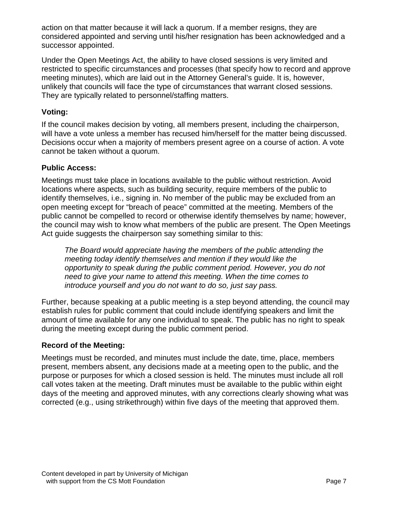action on that matter because it will lack a quorum. If a member resigns, they are considered appointed and serving until his/her resignation has been acknowledged and a successor appointed.

Under the Open Meetings Act, the ability to have closed sessions is very limited and restricted to specific circumstances and processes (that specify how to record and approve meeting minutes), which are laid out in the Attorney General's guide. It is, however, unlikely that councils will face the type of circumstances that warrant closed sessions. They are typically related to personnel/staffing matters.

#### **Voting:**

If the council makes decision by voting, all members present, including the chairperson, will have a vote unless a member has recused him/herself for the matter being discussed. Decisions occur when a majority of members present agree on a course of action. A vote cannot be taken without a quorum.

#### **Public Access:**

Meetings must take place in locations available to the public without restriction. Avoid locations where aspects, such as building security, require members of the public to identify themselves, i.e., signing in. No member of the public may be excluded from an open meeting except for "breach of peace" committed at the meeting. Members of the public cannot be compelled to record or otherwise identify themselves by name; however, the council may wish to know what members of the public are present. The Open Meetings Act guide suggests the chairperson say something similar to this:

*The Board would appreciate having the members of the public attending the meeting today identify themselves and mention if they would like the opportunity to speak during the public comment period. However, you do not need to give your name to attend this meeting. When the time comes to introduce yourself and you do not want to do so, just say pass.*

Further, because speaking at a public meeting is a step beyond attending, the council may establish rules for public comment that could include identifying speakers and limit the amount of time available for any one individual to speak. The public has no right to speak during the meeting except during the public comment period.

#### **Record of the Meeting:**

Meetings must be recorded, and minutes must include the date, time, place, members present, members absent, any decisions made at a meeting open to the public, and the purpose or purposes for which a closed session is held. The minutes must include all roll call votes taken at the meeting. Draft minutes must be available to the public within eight days of the meeting and approved minutes, with any corrections clearly showing what was corrected (e.g., using strikethrough) within five days of the meeting that approved them.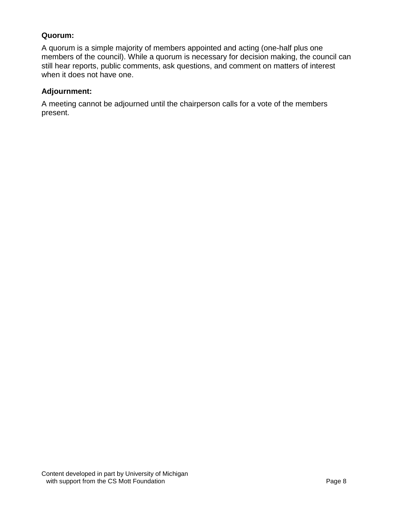#### **Quorum:**

A quorum is a simple majority of members appointed and acting (one-half plus one members of the council). While a quorum is necessary for decision making, the council can still hear reports, public comments, ask questions, and comment on matters of interest when it does not have one.

#### **Adjournment:**

A meeting cannot be adjourned until the chairperson calls for a vote of the members present.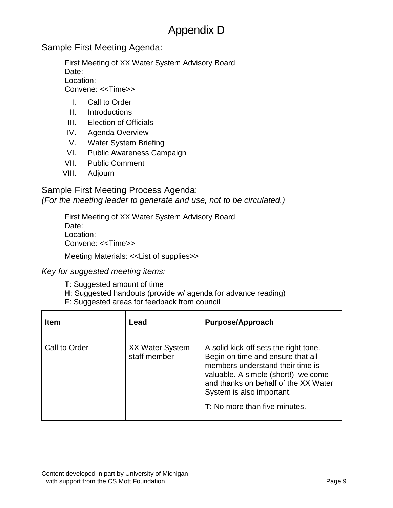# Appendix D

Sample First Meeting Agenda:

First Meeting of XX Water System Advisory Board Date: Location: Convene: <<Time>>

- I. Call to Order
- II. Introductions
- III. Election of Officials
- IV. Agenda Overview
- V. Water System Briefing
- VI. Public Awareness Campaign
- VII. Public Comment
- VIII. Adjourn

Sample First Meeting Process Agenda:

*(For the meeting leader to generate and use, not to be circulated.)*

First Meeting of XX Water System Advisory Board Date: Location: Convene: <<Time>>

Meeting Materials: <<List of supplies>>

*Key for suggested meeting items:*

- **T**: Suggested amount of time
- **H**: Suggested handouts (provide w/ agenda for advance reading)
- **F**: Suggested areas for feedback from council

| <b>Item</b>   | Lead                                   | <b>Purpose/Approach</b>                                                                                                                                                                                                                                     |
|---------------|----------------------------------------|-------------------------------------------------------------------------------------------------------------------------------------------------------------------------------------------------------------------------------------------------------------|
| Call to Order | <b>XX Water System</b><br>staff member | A solid kick-off sets the right tone.<br>Begin on time and ensure that all<br>members understand their time is<br>valuable. A simple (short!) welcome<br>and thanks on behalf of the XX Water<br>System is also important.<br>T: No more than five minutes. |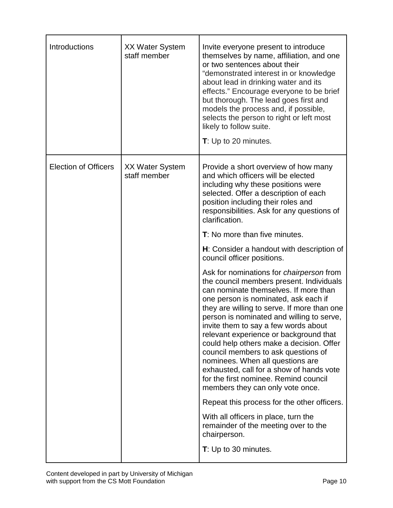| Introductions               | <b>XX Water System</b><br>staff member | Invite everyone present to introduce<br>themselves by name, affiliation, and one<br>or two sentences about their<br>"demonstrated interest in or knowledge<br>about lead in drinking water and its<br>effects." Encourage everyone to be brief<br>but thorough. The lead goes first and<br>models the process and, if possible,<br>selects the person to right or left most<br>likely to follow suite.<br>T: Up to 20 minutes.                                                                                                                                                                             |
|-----------------------------|----------------------------------------|------------------------------------------------------------------------------------------------------------------------------------------------------------------------------------------------------------------------------------------------------------------------------------------------------------------------------------------------------------------------------------------------------------------------------------------------------------------------------------------------------------------------------------------------------------------------------------------------------------|
| <b>Election of Officers</b> | <b>XX Water System</b><br>staff member | Provide a short overview of how many<br>and which officers will be elected<br>including why these positions were<br>selected. Offer a description of each<br>position including their roles and<br>responsibilities. Ask for any questions of<br>clarification.                                                                                                                                                                                                                                                                                                                                            |
|                             |                                        | T: No more than five minutes.                                                                                                                                                                                                                                                                                                                                                                                                                                                                                                                                                                              |
|                             |                                        | H: Consider a handout with description of<br>council officer positions.                                                                                                                                                                                                                                                                                                                                                                                                                                                                                                                                    |
|                             |                                        | Ask for nominations for <i>chairperson</i> from<br>the council members present. Individuals<br>can nominate themselves. If more than<br>one person is nominated, ask each if<br>they are willing to serve. If more than one<br>person is nominated and willing to serve,<br>invite them to say a few words about<br>relevant experience or background that<br>could help others make a decision. Offer<br>council members to ask questions of<br>nominees. When all questions are<br>exhausted, call for a show of hands vote<br>for the first nominee. Remind council<br>members they can only vote once. |
|                             |                                        | Repeat this process for the other officers.                                                                                                                                                                                                                                                                                                                                                                                                                                                                                                                                                                |
|                             |                                        | With all officers in place, turn the<br>remainder of the meeting over to the<br>chairperson.                                                                                                                                                                                                                                                                                                                                                                                                                                                                                                               |
|                             |                                        | T: Up to 30 minutes.                                                                                                                                                                                                                                                                                                                                                                                                                                                                                                                                                                                       |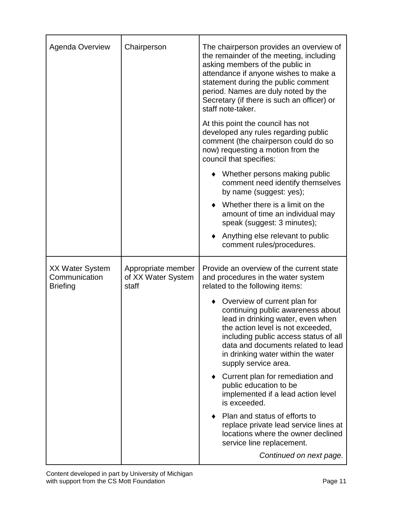| <b>Agenda Overview</b>                                     | Chairperson                                       | The chairperson provides an overview of<br>the remainder of the meeting, including<br>asking members of the public in<br>attendance if anyone wishes to make a<br>statement during the public comment<br>period. Names are duly noted by the<br>Secretary (if there is such an officer) or<br>staff note-taker. |
|------------------------------------------------------------|---------------------------------------------------|-----------------------------------------------------------------------------------------------------------------------------------------------------------------------------------------------------------------------------------------------------------------------------------------------------------------|
|                                                            |                                                   | At this point the council has not<br>developed any rules regarding public<br>comment (the chairperson could do so<br>now) requesting a motion from the<br>council that specifies:                                                                                                                               |
|                                                            |                                                   | Whether persons making public<br>comment need identify themselves<br>by name (suggest: yes);                                                                                                                                                                                                                    |
|                                                            |                                                   | Whether there is a limit on the<br>amount of time an individual may<br>speak (suggest: 3 minutes);                                                                                                                                                                                                              |
|                                                            |                                                   | Anything else relevant to public<br>comment rules/procedures.                                                                                                                                                                                                                                                   |
| <b>XX Water System</b><br>Communication<br><b>Briefing</b> | Appropriate member<br>of XX Water System<br>staff | Provide an overview of the current state<br>and procedures in the water system<br>related to the following items:                                                                                                                                                                                               |
|                                                            |                                                   | Overview of current plan for<br>continuing public awareness about<br>lead in drinking water, even when<br>the action level is not exceeded,<br>including public access status of all<br>data and documents related to lead<br>in drinking water within the water<br>supply service area.                        |
|                                                            |                                                   | Current plan for remediation and<br>public education to be<br>implemented if a lead action level<br>is exceeded.                                                                                                                                                                                                |
|                                                            |                                                   | Plan and status of efforts to<br>replace private lead service lines at<br>locations where the owner declined<br>service line replacement.                                                                                                                                                                       |
|                                                            |                                                   | Continued on next page.                                                                                                                                                                                                                                                                                         |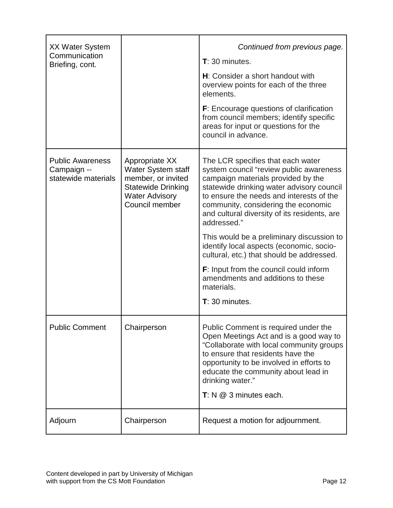| <b>XX Water System</b><br>Communication<br>Briefing, cont.    |                                                                                                                                           | Continued from previous page.<br>$T: 30$ minutes.<br>H: Consider a short handout with<br>overview points for each of the three<br>elements.<br><b>F</b> : Encourage questions of clarification<br>from council members; identify specific<br>areas for input or questions for the<br>council in advance.                                                                                                                                                                                                                                                                         |
|---------------------------------------------------------------|-------------------------------------------------------------------------------------------------------------------------------------------|----------------------------------------------------------------------------------------------------------------------------------------------------------------------------------------------------------------------------------------------------------------------------------------------------------------------------------------------------------------------------------------------------------------------------------------------------------------------------------------------------------------------------------------------------------------------------------|
| <b>Public Awareness</b><br>Campaign --<br>statewide materials | Appropriate XX<br><b>Water System staff</b><br>member, or invited<br><b>Statewide Drinking</b><br><b>Water Advisory</b><br>Council member | The LCR specifies that each water<br>system council "review public awareness<br>campaign materials provided by the<br>statewide drinking water advisory council<br>to ensure the needs and interests of the<br>community, considering the economic<br>and cultural diversity of its residents, are<br>addressed."<br>This would be a preliminary discussion to<br>identify local aspects (economic, socio-<br>cultural, etc.) that should be addressed.<br><b>F</b> : Input from the council could inform<br>amendments and additions to these<br>materials.<br>$T: 30$ minutes. |
| <b>Public Comment</b>                                         | Chairperson                                                                                                                               | Public Comment is required under the<br>Open Meetings Act and is a good way to<br>"Collaborate with local community groups<br>to ensure that residents have the<br>opportunity to be involved in efforts to<br>educate the community about lead in<br>drinking water."<br>$T: N \oslash 3$ minutes each.                                                                                                                                                                                                                                                                         |
| Adjourn                                                       | Chairperson                                                                                                                               | Request a motion for adjournment.                                                                                                                                                                                                                                                                                                                                                                                                                                                                                                                                                |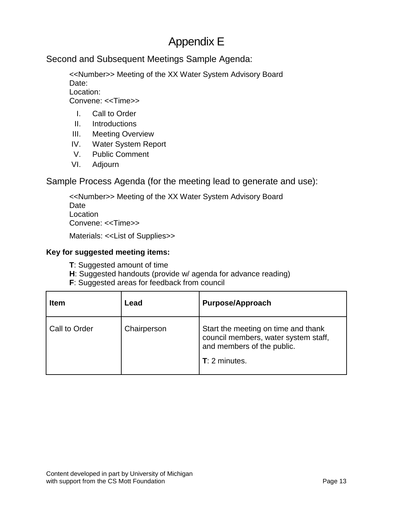# Appendix E

Second and Subsequent Meetings Sample Agenda:

<<Number>> Meeting of the XX Water System Advisory Board Date: Location: Convene: <<Time>>

- I. Call to Order
- II. Introductions
- III. Meeting Overview
- IV. Water System Report
- V. Public Comment
- VI. Adjourn

Sample Process Agenda (for the meeting lead to generate and use):

<<Number>> Meeting of the XX Water System Advisory Board Date Location Convene: <<Time>>

Materials: <<List of Supplies>>

#### **Key for suggested meeting items:**

- **T**: Suggested amount of time
- **H**: Suggested handouts (provide w/ agenda for advance reading)
- **F**: Suggested areas for feedback from council

| <b>Item</b>   | Lead        | <b>Purpose/Approach</b>                                                                                                      |
|---------------|-------------|------------------------------------------------------------------------------------------------------------------------------|
| Call to Order | Chairperson | Start the meeting on time and thank<br>council members, water system staff,<br>and members of the public.<br>$T: 2$ minutes. |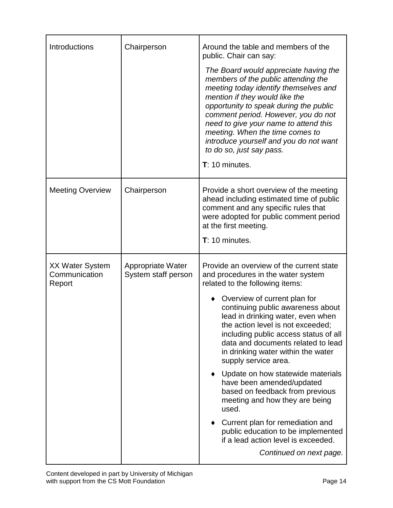| Introductions                                     | Chairperson                              | Around the table and members of the<br>public. Chair can say:<br>The Board would appreciate having the<br>members of the public attending the<br>meeting today identify themselves and<br>mention if they would like the<br>opportunity to speak during the public<br>comment period. However, you do not<br>need to give your name to attend this<br>meeting. When the time comes to<br>introduce yourself and you do not want<br>to do so, just say pass.<br>$T: 10$ minutes.                                                                                                                                                                                                                                        |
|---------------------------------------------------|------------------------------------------|------------------------------------------------------------------------------------------------------------------------------------------------------------------------------------------------------------------------------------------------------------------------------------------------------------------------------------------------------------------------------------------------------------------------------------------------------------------------------------------------------------------------------------------------------------------------------------------------------------------------------------------------------------------------------------------------------------------------|
| <b>Meeting Overview</b>                           | Chairperson                              | Provide a short overview of the meeting<br>ahead including estimated time of public<br>comment and any specific rules that<br>were adopted for public comment period<br>at the first meeting.<br>$T: 10$ minutes.                                                                                                                                                                                                                                                                                                                                                                                                                                                                                                      |
| <b>XX Water System</b><br>Communication<br>Report | Appropriate Water<br>System staff person | Provide an overview of the current state<br>and procedures in the water system<br>related to the following items:<br>Overview of current plan for<br>continuing public awareness about<br>lead in drinking water, even when<br>the action level is not exceeded;<br>including public access status of all<br>data and documents related to lead<br>in drinking water within the water<br>supply service area.<br>Update on how statewide materials<br>have been amended/updated<br>based on feedback from previous<br>meeting and how they are being<br>used.<br>Current plan for remediation and<br>$\bullet$<br>public education to be implemented<br>if a lead action level is exceeded.<br>Continued on next page. |